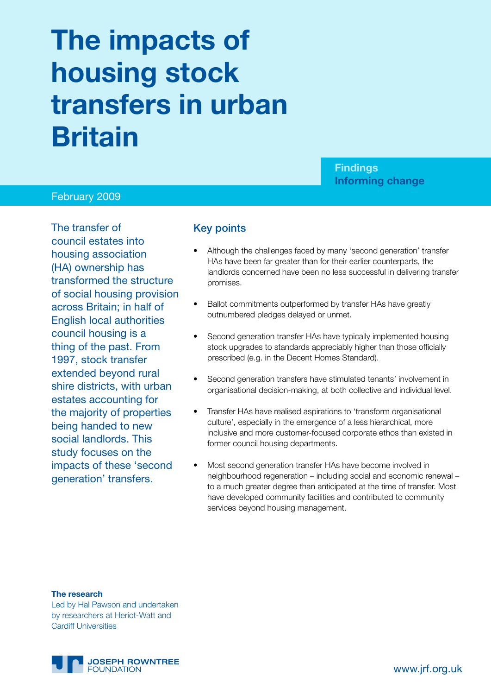# **The impacts of housing stock transfers in urban Britain**

# **Findings Informing change**

#### February 2009

The transfer of council estates into housing association (HA) ownership has transformed the structure of social housing provision across Britain; in half of English local authorities council housing is a thing of the past. From 1997, stock transfer extended beyond rural shire districts, with urban estates accounting for the majority of properties being handed to new social landlords. This study focuses on the impacts of these 'second generation' transfers.

#### Key points

- Although the challenges faced by many 'second generation' transfer HAs have been far greater than for their earlier counterparts, the landlords concerned have been no less successful in delivering transfer promises.
- Ballot commitments outperformed by transfer HAs have greatly outnumbered pledges delayed or unmet.
- Second generation transfer HAs have typically implemented housing stock upgrades to standards appreciably higher than those officially prescribed (e.g. in the Decent Homes Standard).
- Second generation transfers have stimulated tenants' involvement in organisational decision-making, at both collective and individual level.
- Transfer HAs have realised aspirations to 'transform organisational culture', especially in the emergence of a less hierarchical, more inclusive and more customer-focused corporate ethos than existed in former council housing departments.
- Most second generation transfer HAs have become involved in neighbourhood regeneration – including social and economic renewal – to a much greater degree than anticipated at the time of transfer. Most have developed community facilities and contributed to community services beyond housing management.

**The research**

Led by Hal Pawson and undertaken by researchers at Heriot-Watt and Cardiff Universities

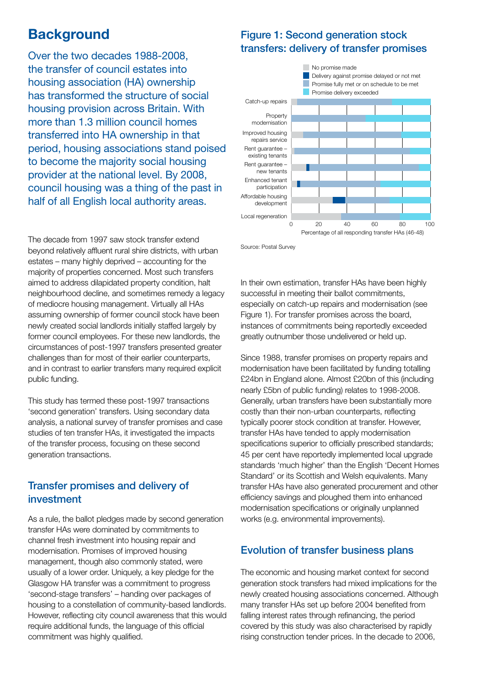# **Background**

Over the two decades 1988-2008, the transfer of council estates into housing association (HA) ownership has transformed the structure of social housing provision across Britain. With more than 1.3 million council homes transferred into HA ownership in that period, housing associations stand poised to become the majority social housing provider at the national level. By 2008, council housing was a thing of the past in half of all English local authority areas.

## Figure 1: Second generation stock transfers: delivery of transfer promises



Source: Postal Survey

The decade from 1997 saw stock transfer extend beyond relatively affluent rural shire districts, with urban estates – many highly deprived – accounting for the majority of properties concerned. Most such transfers aimed to address dilapidated property condition, halt neighbourhood decline, and sometimes remedy a legacy of mediocre housing management. Virtually all HAs assuming ownership of former council stock have been newly created social landlords initially staffed largely by former council employees. For these new landlords, the circumstances of post-1997 transfers presented greater challenges than for most of their earlier counterparts, and in contrast to earlier transfers many required explicit public funding.

This study has termed these post-1997 transactions 'second generation' transfers. Using secondary data analysis, a national survey of transfer promises and case studies of ten transfer HAs, it investigated the impacts of the transfer process, focusing on these second generation transactions.

#### Transfer promises and delivery of investment

As a rule, the ballot pledges made by second generation transfer HAs were dominated by commitments to channel fresh investment into housing repair and modernisation. Promises of improved housing management, though also commonly stated, were usually of a lower order. Uniquely, a key pledge for the Glasgow HA transfer was a commitment to progress 'second-stage transfers' – handing over packages of housing to a constellation of community-based landlords. However, reflecting city council awareness that this would require additional funds, the language of this official commitment was highly qualified.

In their own estimation, transfer HAs have been highly successful in meeting their ballot commitments, especially on catch-up repairs and modernisation (see Figure 1). For transfer promises across the board, instances of commitments being reportedly exceeded greatly outnumber those undelivered or held up.

Since 1988, transfer promises on property repairs and modernisation have been facilitated by funding totalling £24bn in England alone. Almost £20bn of this (including nearly £5bn of public funding) relates to 1998-2008. Generally, urban transfers have been substantially more costly than their non-urban counterparts, reflecting typically poorer stock condition at transfer. However, transfer HAs have tended to apply modernisation specifications superior to officially prescribed standards; 45 per cent have reportedly implemented local upgrade standards 'much higher' than the English 'Decent Homes Standard' or its Scottish and Welsh equivalents. Many transfer HAs have also generated procurement and other efficiency savings and ploughed them into enhanced modernisation specifications or originally unplanned works (e.g. environmental improvements).

### Evolution of transfer business plans

The economic and housing market context for second generation stock transfers had mixed implications for the newly created housing associations concerned. Although many transfer HAs set up before 2004 benefited from falling interest rates through refinancing, the period covered by this study was also characterised by rapidly rising construction tender prices. In the decade to 2006,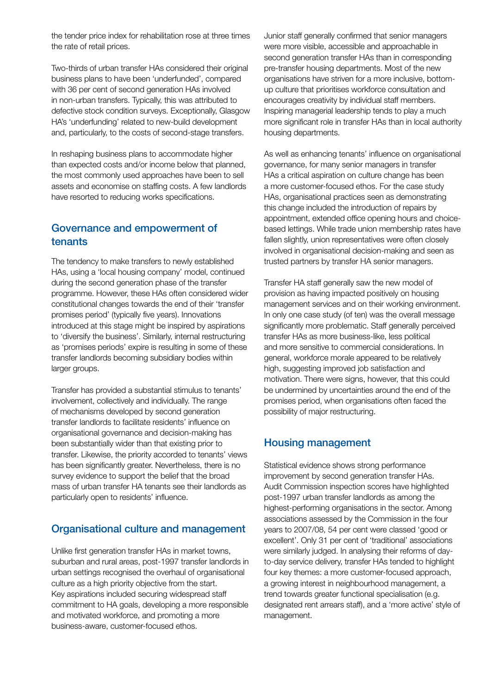the tender price index for rehabilitation rose at three times the rate of retail prices.

Two-thirds of urban transfer HAs considered their original business plans to have been 'underfunded', compared with 36 per cent of second generation HAs involved in non-urban transfers. Typically, this was attributed to defective stock condition surveys. Exceptionally, Glasgow HA's 'underfunding' related to new-build development and, particularly, to the costs of second-stage transfers.

In reshaping business plans to accommodate higher than expected costs and/or income below that planned, the most commonly used approaches have been to sell assets and economise on staffing costs. A few landlords have resorted to reducing works specifications.

#### Governance and empowerment of tenants

The tendency to make transfers to newly established HAs, using a 'local housing company' model, continued during the second generation phase of the transfer programme. However, these HAs often considered wider constitutional changes towards the end of their 'transfer promises period' (typically five years). Innovations introduced at this stage might be inspired by aspirations to 'diversify the business'. Similarly, internal restructuring as 'promises periods' expire is resulting in some of these transfer landlords becoming subsidiary bodies within larger groups.

Transfer has provided a substantial stimulus to tenants' involvement, collectively and individually. The range of mechanisms developed by second generation transfer landlords to facilitate residents' influence on organisational governance and decision-making has been substantially wider than that existing prior to transfer. Likewise, the priority accorded to tenants' views has been significantly greater. Nevertheless, there is no survey evidence to support the belief that the broad mass of urban transfer HA tenants see their landlords as particularly open to residents' influence.

### Organisational culture and management

Unlike first generation transfer HAs in market towns, suburban and rural areas, post-1997 transfer landlords in urban settings recognised the overhaul of organisational culture as a high priority objective from the start. Key aspirations included securing widespread staff commitment to HA goals, developing a more responsible and motivated workforce, and promoting a more business-aware, customer-focused ethos.

Junior staff generally confirmed that senior managers were more visible, accessible and approachable in second generation transfer HAs than in corresponding pre-transfer housing departments. Most of the new organisations have striven for a more inclusive, bottomup culture that prioritises workforce consultation and encourages creativity by individual staff members. Inspiring managerial leadership tends to play a much more significant role in transfer HAs than in local authority housing departments.

As well as enhancing tenants' influence on organisational governance, for many senior managers in transfer HAs a critical aspiration on culture change has been a more customer-focused ethos. For the case study HAs, organisational practices seen as demonstrating this change included the introduction of repairs by appointment, extended office opening hours and choicebased lettings. While trade union membership rates have fallen slightly, union representatives were often closely involved in organisational decision-making and seen as trusted partners by transfer HA senior managers.

Transfer HA staff generally saw the new model of provision as having impacted positively on housing management services and on their working environment. In only one case study (of ten) was the overall message significantly more problematic. Staff generally perceived transfer HAs as more business-like, less political and more sensitive to commercial considerations. In general, workforce morale appeared to be relatively high, suggesting improved job satisfaction and motivation. There were signs, however, that this could be undermined by uncertainties around the end of the promises period, when organisations often faced the possibility of major restructuring.

### Housing management

Statistical evidence shows strong performance improvement by second generation transfer HAs. Audit Commission inspection scores have highlighted post-1997 urban transfer landlords as among the highest-performing organisations in the sector. Among associations assessed by the Commission in the four years to 2007/08, 54 per cent were classed 'good or excellent'. Only 31 per cent of 'traditional' associations were similarly judged. In analysing their reforms of dayto-day service delivery, transfer HAs tended to highlight four key themes: a more customer-focused approach, a growing interest in neighbourhood management, a trend towards greater functional specialisation (e.g. designated rent arrears staff), and a 'more active' style of management.